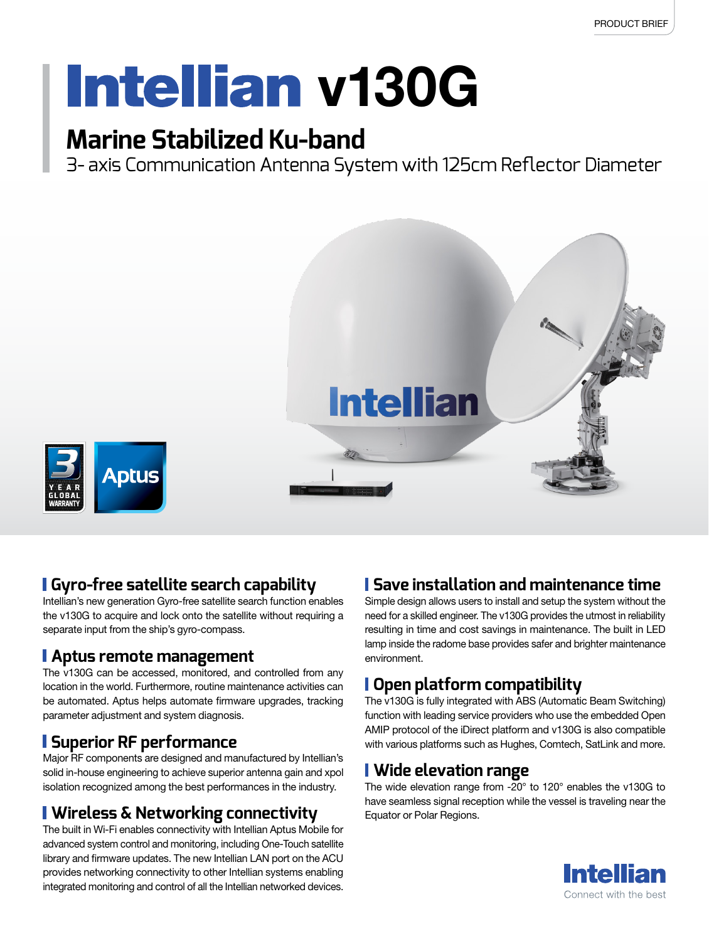# **Intellian v130G**

### **Marine Stabilized Ku-band**

3- axis Communication Antenna System with 125cm Reflector Diameter



#### **Gyro-free satellite search capability**

Intellian's new generation Gyro-free satellite search function enables the v130G to acquire and lock onto the satellite without requiring a separate input from the ship's gyro-compass.

#### **Aptus remote management**

The v130G can be accessed, monitored, and controlled from any location in the world. Furthermore, routine maintenance activities can be automated. Aptus helps automate firmware upgrades, tracking parameter adjustment and system diagnosis.

#### **Superior RF performance**

Major RF components are designed and manufactured by Intellian's solid in-house engineering to achieve superior antenna gain and xpol isolation recognized among the best performances in the industry.

#### **Wireless & Networking connectivity**

The built in Wi-Fi enables connectivity with Intellian Aptus Mobile for advanced system control and monitoring, including One-Touch satellite library and firmware updates. The new Intellian LAN port on the ACU provides networking connectivity to other Intellian systems enabling integrated monitoring and control of all the Intellian networked devices.

#### **Save installation and maintenance time**

Simple design allows users to install and setup the system without the need for a skilled engineer. The v130G provides the utmost in reliability resulting in time and cost savings in maintenance. The built in LED lamp inside the radome base provides safer and brighter maintenance environment.

#### **Open platform compatibility**

The v130G is fully integrated with ABS (Automatic Beam Switching) function with leading service providers who use the embedded Open AMIP protocol of the iDirect platform and v130G is also compatible with various platforms such as Hughes, Comtech, SatLink and more.

#### **Wide elevation range**

The wide elevation range from -20° to 120° enables the v130G to have seamless signal reception while the vessel is traveling near the Equator or Polar Regions.